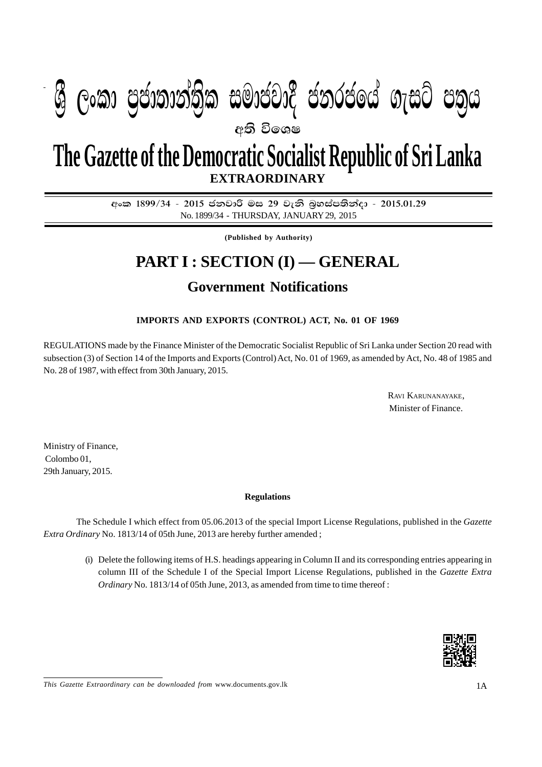# $\blacksquare$ **අති වි**ගෙෂ **W** Gord (Condination) was denoted a change to change the change of  $\alpha$

# **EXTRAORDINARY The Gazette of the Democratic Socialist Republic of Sri Lanka**

අංක 1899/34 - 2015 ජනවාරි මස 29 වැනි බූහස්පතින්දා - 2015.01.29 No. 1899/34 - THURSDAY, JANUARY 29, 2015

**(Published by Authority)**

## **PART I : SECTION (I) — GENERAL**

## **Government Notifications**

### **IMPORTS AND EXPORTS (CONTROL) ACT, No. 01 OF 1969**

REGULATIONS made by the Finance Minister of the Democratic Socialist Republic of Sri Lanka under Section 20 read with subsection (3) of Section 14 of the Imports and Exports (Control) Act, No. 01 of 1969, as amended by Act, No. 48 of 1985 and No. 28 of 1987, with effect from 30th January, 2015.

> RAVI KARUNANAYAKE, Minister of Finance.

Ministry of Finance, Colombo 01, 29th January, 2015.

#### **Regulations**

The Schedule I which effect from 05.06.2013 of the special Import License Regulations, published in the *Gazette Extra Ordinary* No. 1813/14 of 05th June, 2013 are hereby further amended ;

(i) Delete the following items of H.S. headings appearing in Column II and its corresponding entries appearing in column III of the Schedule I of the Special Import License Regulations, published in the *Gazette Extra Ordinary* No. 1813/14 of 05th June, 2013, as amended from time to time thereof :



*This Gazette Extraordinary can be downloaded from www.documents.gov.lk* 1A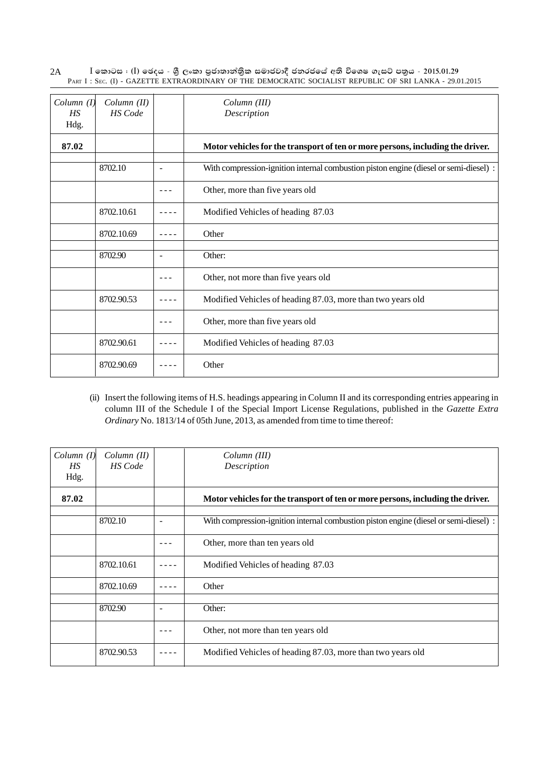| Column(I)<br>HS<br>Hdg. | Column (II)<br>HS Code |                          | Column (III)<br>Description                                                           |
|-------------------------|------------------------|--------------------------|---------------------------------------------------------------------------------------|
| 87.02                   |                        |                          | Motor vehicles for the transport of ten or more persons, including the driver.        |
|                         | 8702.10                | $\overline{\phantom{a}}$ | With compression-ignition internal combustion piston engine (diesel or semi-diesel) : |
|                         |                        |                          | Other, more than five years old                                                       |
|                         | 8702.10.61             |                          | Modified Vehicles of heading 87.03                                                    |
|                         | 8702.10.69             |                          | Other                                                                                 |
|                         | 8702.90                | $\overline{\phantom{0}}$ | Other:                                                                                |
|                         |                        |                          | Other, not more than five years old                                                   |
|                         | 8702.90.53             |                          | Modified Vehicles of heading 87.03, more than two years old                           |
|                         |                        |                          | Other, more than five years old                                                       |
|                         | 8702.90.61             |                          | Modified Vehicles of heading 87.03                                                    |
|                         | 8702.90.69             |                          | Other                                                                                 |

 $I$  කොටස : (I) ඡෙදය - ශුී ලංකා පුජාතාන්තිුක සමාජවාදී ජනරජයේ අති විශෙෂ ගැසට් පතුය - 2015.01.29 PART I : SEC. (I) - GAZETTE EXTRAORDINARY OF THE DEMOCRATIC SOCIALIST REPUBLIC OF SRI LANKA - 29.01.2015 2A

(ii) Insert the following items of H.S. headings appearing in Column II and its corresponding entries appearing in column III of the Schedule I of the Special Import License Regulations, published in the *Gazette Extra Ordinary* No. 1813/14 of 05th June, 2013, as amended from time to time thereof:

| Column(I)<br>HS<br>Hdg. | Column (II)<br><b>HS</b> Code |                          | Column (III)<br>Description                                                           |
|-------------------------|-------------------------------|--------------------------|---------------------------------------------------------------------------------------|
| 87.02                   |                               |                          | Motor vehicles for the transport of ten or more persons, including the driver.        |
|                         | 8702.10                       | $\blacksquare$           | With compression-ignition internal combustion piston engine (diesel or semi-diesel) : |
|                         |                               |                          | Other, more than ten years old                                                        |
|                         | 8702.10.61                    |                          | Modified Vehicles of heading 87.03                                                    |
|                         | 8702.10.69                    |                          | Other                                                                                 |
|                         | 8702.90                       | $\overline{\phantom{a}}$ | Other:                                                                                |
|                         |                               |                          | Other, not more than ten years old                                                    |
|                         | 8702.90.53                    |                          | Modified Vehicles of heading 87.03, more than two years old                           |